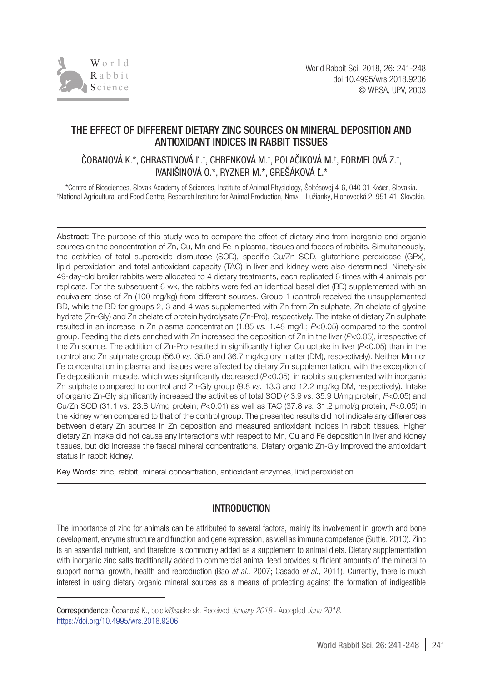

# THE EFFECT OF DIFFERENT DIETARY ZINC SOURCES ON MINERAL DEPOSITION AND ANTIOXIDANT INDICES IN RABBIT TISSUES

# COBANOVA K.\*, CHRASTINOVA Ľ.†, CHRENKOVA M.†, POLACIKOVA M.†, FORMELOVA Z.†, IVANIŠINOVÁ O.\*, RYZNER M.\*, GREŠÁKOVÁ Ľ.\*

\*Centre of Biosciences, Slovak Academy of Sciences, Institute of Animal Physiology, Šoltésovej 4-6, 040 01 Košice, Slovakia. † National Agricultural and Food Centre, Research Institute for Animal Production, Nitra – Lužianky, Hlohovecká 2, 951 41, Slovakia.

Abstract: The purpose of this study was to compare the effect of dietary zinc from inorganic and organic sources on the concentration of Zn, Cu, Mn and Fe in plasma, tissues and faeces of rabbits. Simultaneously, the activities of total superoxide dismutase (SOD), specific Cu/Zn SOD, glutathione peroxidase (GPx), lipid peroxidation and total antioxidant capacity (TAC) in liver and kidney were also determined. Ninety-six 49-day-old broiler rabbits were allocated to 4 dietary treatments, each replicated 6 times with 4 animals per replicate. For the subsequent 6 wk, the rabbits were fed an identical basal diet (BD) supplemented with an equivalent dose of Zn (100 mg/kg) from different sources. Group 1 (control) received the unsupplemented BD, while the BD for groups 2, 3 and 4 was supplemented with Zn from Zn sulphate, Zn chelate of glycine hydrate (Zn-Gly) and Zn chelate of protein hydrolysate (Zn-Pro), respectively. The intake of dietary Zn sulphate resulted in an increase in Zn plasma concentration (1.85 *vs.* 1.48 mg/L; *P*<0.05) compared to the control group. Feeding the diets enriched with Zn increased the deposition of Zn in the liver (*P*<0.05), irrespective of the Zn source. The addition of Zn-Pro resulted in significantly higher Cu uptake in liver (*P*<0.05) than in the control and Zn sulphate group (56.0 *vs.* 35.0 and 36.7 mg/kg dry matter (DM), respectively). Neither Mn nor Fe concentration in plasma and tissues were affected by dietary Zn supplementation, with the exception of Fe deposition in muscle, which was significantly decreased (*P*<0.05) in rabbits supplemented with inorganic Zn sulphate compared to control and Zn-Gly group (9.8 *vs.* 13.3 and 12.2 mg/kg DM, respectively). Intake of organic Zn-Gly significantly increased the activities of total SOD (43.9 *vs.* 35.9 U/mg protein; *P*<0.05) and Cu/Zn SOD (31.1 *vs.* 23.8 U/mg protein; *P*<0.01) as well as TAC (37.8 *vs.* 31.2 µmol/g protein; *P*<0.05) in the kidney when compared to that of the control group. The presented results did not indicate any differences between dietary Zn sources in Zn deposition and measured antioxidant indices in rabbit tissues. Higher dietary Zn intake did not cause any interactions with respect to Mn, Cu and Fe deposition in liver and kidney tissues, but did increase the faecal mineral concentrations. Dietary organic Zn-Gly improved the antioxidant status in rabbit kidney.

Key Words: zinc, rabbit, mineral concentration, antioxidant enzymes, lipid peroxidation*.*

## INTRODUCTION

The importance of zinc for animals can be attributed to several factors, mainly its involvement in growth and bone development, enzyme structure and function and gene expression, as well as immune competence (Suttle, 2010). Zinc is an essential nutrient, and therefore is commonly added as a supplement to animal diets. Dietary supplementation with inorganic zinc salts traditionally added to commercial animal feed provides sufficient amounts of the mineral to support normal growth, health and reproduction (Bao *et al.,* 2007; Casado *et al.,* 2011). Currently, there is much interest in using dietary organic mineral sources as a means of protecting against the formation of indigestible

Correspondence: Čobanová K., [boldik@saske.sk.](mailto:boldik@saske.sk) Received *January 2018* - Accepted *June 2018.* https://doi.org/10.4995/wrs.2018.9206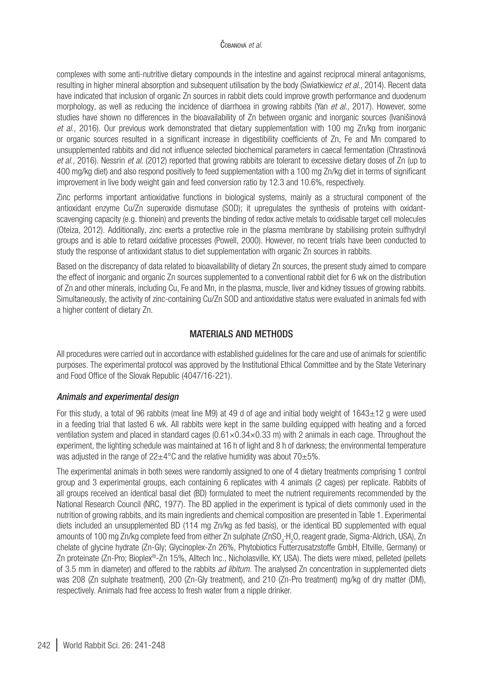complexes with some anti-nutritive dietary compounds in the intestine and against reciprocal mineral antagonisms, resulting in higher mineral absorption and subsequent utilisation by the body (Swiatkiewicz *et al.,* 2014). Recent data have indicated that inclusion of organic Zn sources in rabbit diets could improve growth performance and duodenum morphology, as well as reducing the incidence of diarrhoea in growing rabbits (Yan *et al.,* 2017). However, some studies have shown no differences in the bioavailability of Zn between organic and inorganic sources (Ivanišinová *et al.*, 2016). Our previous work demonstrated that dietary supplementation with 100 mg Zn/kg from inorganic or organic sources resulted in a significant increase in digestibility coefficients of Zn, Fe and Mn compared to unsupplemented rabbits and did not influence selected biochemical parameters in caecal fermentation (Chrastinová *et al.,* 2016). Nessrin *et al*. (2012) reported that growing rabbits are tolerant to excessive dietary doses of Zn (up to 400 mg/kg diet) and also respond positively to feed supplementation with a 100 mg Zn/kg diet in terms of significant improvement in live body weight gain and feed conversion ratio by 12.3 and 10.6%, respectively.

Zinc performs important antioxidative functions in biological systems, mainly as a structural component of the antioxidant enzyme Cu/Zn superoxide dismutase (SOD); it upregulates the synthesis of proteins with oxidantscavenging capacity (e.g. thionein) and prevents the binding of redox active metals to oxidisable target cell molecules (Oteiza, 2012). Additionally, zinc exerts a protective role in the plasma membrane by stabilising protein sulfhydryl groups and is able to retard oxidative processes (Powell, 2000). However, no recent trials have been conducted to study the response of antioxidant status to diet supplementation with organic Zn sources in rabbits.

Based on the discrepancy of data related to bioavailability of dietary Zn sources, the present study aimed to compare the effect of inorganic and organic Zn sources supplemented to a conventional rabbit diet for 6 wk on the distribution of Zn and other minerals, including Cu, Fe and Mn, in the plasma, muscle, liver and kidney tissues of growing rabbits. Simultaneously, the activity of zinc-containing Cu/Zn SOD and antioxidative status were evaluated in animals fed with a higher content of dietary Zn.

# MATERIALS AND METHODS

All procedures were carried out in accordance with established guidelines for the care and use of animals for scientific purposes. The experimental protocol was approved by the Institutional Ethical Committee and by the State Veterinary and Food Office of the Slovak Republic (4047/16-221).

## *Animals and experimental design*

For this study, a total of 96 rabbits (meat line M9) at 49 d of age and initial body weight of 1643±12 g were used in a feeding trial that lasted 6 wk. All rabbits were kept in the same building equipped with heating and a forced ventilation system and placed in standard cages  $(0.61\times0.34\times0.33$  m) with 2 animals in each cage. Throughout the experiment, the lighting schedule was maintained at 16 h of light and 8 h of darkness; the environmental temperature was adjusted in the range of  $22\pm4\degree$ C and the relative humidity was about  $70\pm5\%$ .

The experimental animals in both sexes were randomly assigned to one of 4 dietary treatments comprising 1 control group and 3 experimental groups, each containing 6 replicates with 4 animals (2 cages) per replicate. Rabbits of all groups received an identical basal diet (BD) formulated to meet the nutrient requirements recommended by the National Research Council (NRC, 1977). The BD applied in the experiment is typical of diets commonly used in the nutrition of growing rabbits, and its main ingredients and chemical composition are presented in Table 1. Experimental diets included an unsupplemented BD (114 mg Zn/kg as fed basis), or the identical BD supplemented with equal amounts of 100 mg Zn/kg complete feed from either Zn sulphate (ZnSO<sub>4</sub>·H<sub>2</sub>O, reagent grade, Sigma-Aldrich, USA), Zn chelate of glycine hydrate (Zn-Gly; Glycinoplex-Zn 26%, Phytobiotics Futterzusatzstoffe GmbH, Eltville, Germany) or Zn proteinate (Zn-Pro; Bioplex®-Zn 15%, Alltech Inc., Nicholasville, KY, USA). The diets were mixed, pelleted (pellets of 3.5 mm in diameter) and offered to the rabbits *ad libitum.* The analysed Zn concentration in supplemented diets was 208 (Zn sulphate treatment), 200 (Zn-Gly treatment), and 210 (Zn-Pro treatment) mg/kg of dry matter (DM), respectively. Animals had free access to fresh water from a nipple drinker.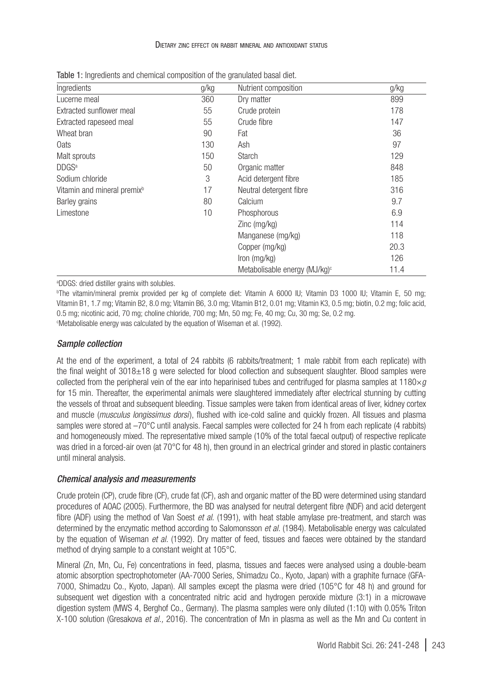#### Dietary zinc effect on rabbit mineral and antioxidant status

| Ingredients                             | g/kg | Nutrient composition                      | g/kg |  |
|-----------------------------------------|------|-------------------------------------------|------|--|
| Lucerne meal                            | 360  | Dry matter                                | 899  |  |
| Extracted sunflower meal                | 55   | Crude protein                             | 178  |  |
| Extracted rapeseed meal                 | 55   | Crude fibre                               | 147  |  |
| Wheat bran                              | 90   | Fat                                       | 36   |  |
| 0ats                                    | 130  | Ash                                       | 97   |  |
| Malt sprouts                            | 150  | Starch                                    | 129  |  |
| DDGS <sup>a</sup>                       | 50   | Organic matter                            | 848  |  |
| Sodium chloride                         | 3    | Acid detergent fibre                      | 185  |  |
| Vitamin and mineral premix <sup>b</sup> | 17   | Neutral detergent fibre                   | 316  |  |
| Barley grains                           | 80   | Calcium                                   | 9.7  |  |
| Limestone                               | 10   | Phosphorous                               | 6.9  |  |
|                                         |      | $Zinc$ (mg/kg)                            | 114  |  |
|                                         |      | Manganese (mg/kg)                         | 118  |  |
|                                         |      | Copper (mg/kg)                            | 20.3 |  |
|                                         |      | Iron (mg/kg)                              | 126  |  |
|                                         |      | Metabolisable energy (MJ/kg) <sup>c</sup> | 11.4 |  |

| Table 1: Ingredients and chemical composition of the granulated basal diet. |  |  |  |  |  |  |
|-----------------------------------------------------------------------------|--|--|--|--|--|--|
|-----------------------------------------------------------------------------|--|--|--|--|--|--|

a DDGS: dried distiller grains with solubles.

b The vitamin/mineral premix provided per kg of complete diet: Vitamin A 6000 IU; Vitamin D3 1000 IU; Vitamin E, 50 mg; Vitamin B1, 1.7 mg; Vitamin B2, 8.0 mg; Vitamin B6, 3.0 mg; Vitamin B12, 0.01 mg; Vitamin K3, 0.5 mg; biotin, 0.2 mg; folic acid, 0.5 mg; nicotinic acid, 70 mg; choline chloride, 700 mg; Mn, 50 mg; Fe, 40 mg; Cu, 30 mg; Se, 0.2 mg. c Metabolisable energy was calculated by the equation of Wiseman et al. (1992).

*Sample collection*

At the end of the experiment, a total of 24 rabbits (6 rabbits/treatment; 1 male rabbit from each replicate) with the final weight of 3018±18 g were selected for blood collection and subsequent slaughter. Blood samples were collected from the peripheral vein of the ear into heparinised tubes and centrifuged for plasma samples at  $1180\times g$ for 15 min. Thereafter, the experimental animals were slaughtered immediately after electrical stunning by cutting the vessels of throat and subsequent bleeding. Tissue samples were taken from identical areas of liver, kidney cortex and muscle (*musculus longissimus dorsi* ), flushed with ice-cold saline and quickly frozen. All tissues and plasma samples were stored at  $-70^{\circ}$ C until analysis. Faecal samples were collected for 24 h from each replicate (4 rabbits) and homogeneously mixed. The representative mixed sample (10% of the total faecal output) of respective replicate was dried in a forced-air oven (at 70°C for 48 h), then ground in an electrical grinder and stored in plastic containers until mineral analysis.

#### *Chemical analysis and measurements*

Crude protein (CP), crude fibre (CF), crude fat (CF), ash and organic matter of the BD were determined using standard procedures of AOAC (2005). Furthermore, the BD was analysed for neutral detergent fibre (NDF) and acid detergent fibre (ADF) using the method of Van Soest *et al.* (1991), with heat stable amylase pre-treatment, and starch was determined by the enzymatic method according to Salomonsson *et al.* (1984). Metabolisable energy was calculated by the equation of Wiseman *et al.* (1992). Dry matter of feed, tissues and faeces were obtained by the standard method of drying sample to a constant weight at 105°C.

Mineral (Zn, Mn, Cu, Fe) concentrations in feed, plasma, tissues and faeces were analysed using a double-beam atomic absorption spectrophotometer (AA-7000 Series, Shimadzu Co., Kyoto, Japan) with a graphite furnace (GFA-7000, Shimadzu Co., Kyoto, Japan). All samples except the plasma were dried (105°C for 48 h) and ground for subsequent wet digestion with a concentrated nitric acid and hydrogen peroxide mixture (3:1) in a microwave digestion system (MWS 4, Berghof Co., Germany). The plasma samples were only diluted (1:10) with 0.05% Triton X-100 solution (Gresakova *et al.,* 2016). The concentration of Mn in plasma as well as the Mn and Cu content in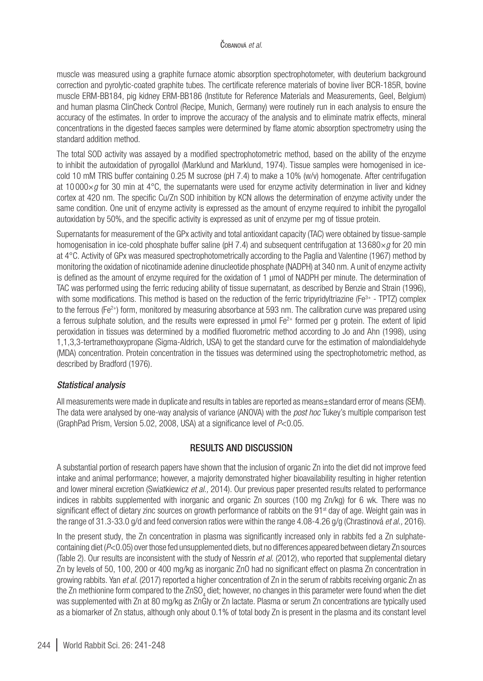muscle was measured using a graphite furnace atomic absorption spectrophotometer, with deuterium background correction and pyrolytic-coated graphite tubes. The certificate reference materials of bovine liver BCR-185R, bovine muscle ERM-BB184, pig kidney ERM-BB186 (Institute for Reference Materials and Measurements, Geel, Belgium) and human plasma ClinCheck Control (Recipe, Munich, Germany) were routinely run in each analysis to ensure the accuracy of the estimates. In order to improve the accuracy of the analysis and to eliminate matrix effects, mineral concentrations in the digested faeces samples were determined by flame atomic absorption spectrometry using the standard addition method.

The total SOD activity was assayed by a modified spectrophotometric method, based on the ability of the enzyme to inhibit the autoxidation of pyrogallol (Marklund and Marklund, 1974). Tissue samples were homogenised in icecold 10 mM TRIS buffer containing 0.25 M sucrose (pH 7.4) to make a 10% (w/v) homogenate. After centrifugation at 10 000×*g* for 30 min at 4°C, the supernatants were used for enzyme activity determination in liver and kidney cortex at 420 nm. The specific Cu/Zn SOD inhibition by KCN allows the determination of enzyme activity under the same condition. One unit of enzyme activity is expressed as the amount of enzyme required to inhibit the pyrogallol autoxidation by 50%, and the specific activity is expressed as unit of enzyme per mg of tissue protein.

Supernatants for measurement of the GPx activity and total antioxidant capacity (TAC) were obtained by tissue-sample homogenisation in ice-cold phosphate buffer saline (pH 7.4) and subsequent centrifugation at 13 680×*a* for 20 min at 4°C. Activity of GPx was measured spectrophotometrically according to the Paglia and Valentine (1967) method by monitoring the oxidation of nicotinamide adenine dinucleotide phosphate (NADPH) at 340 nm. A unit of enzyme activity is defined as the amount of enzyme required for the oxidation of 1 µmol of NADPH per minute. The determination of TAC was performed using the ferric reducing ability of tissue supernatant, as described by Benzie and Strain (1996), with some modifications. This method is based on the reduction of the ferric tripyridyltriazine (Fe<sup>3+</sup> - TPTZ) complex to the ferrous (Fe<sup>2+</sup>) form, monitored by measuring absorbance at 593 nm. The calibration curve was prepared using a ferrous sulphate solution, and the results were expressed in umol  $Fe^{2+}$  formed per g protein. The extent of lipid peroxidation in tissues was determined by a modified fluorometric method according to Jo and Ahn (1998), using 1,1,3,3-tertramethoxypropane (Sigma-Aldrich, USA) to get the standard curve for the estimation of malondialdehyde (MDA) concentration. Protein concentration in the tissues was determined using the spectrophotometric method, as described by Bradford (1976).

#### *Statistical analysis*

All measurements were made in duplicate and results in tables are reported as means±standard error of means (SEM). The data were analysed by one-way analysis of variance (ANOVA) with the *post hoc* Tukey's multiple comparison test (GraphPad Prism, Version 5.02, 2008, USA) at a significance level of *P*<0.05.

## RESULTS AND DISCUSSION

A substantial portion of research papers have shown that the inclusion of organic Zn into the diet did not improve feed intake and animal performance; however, a majority demonstrated higher bioavailability resulting in higher retention and lower mineral excretion (Swiatkiewicz *et al.,* 2014). Our previous paper presented results related to performance indices in rabbits supplemented with inorganic and organic Zn sources (100 mg Zn/kg) for 6 wk. There was no significant effect of dietary zinc sources on growth performance of rabbits on the 91<sup>st</sup> day of age. Weight gain was in the range of 31.3-33.0 g/d and feed conversion ratios were within the range 4.08-4.26 g/g (Chrastinová *et al.,* 2016).

In the present study, the Zn concentration in plasma was significantly increased only in rabbits fed a Zn sulphatecontaining diet (*P*<0.05) over those fed unsupplemented diets, but no differences appeared between dietary Zn sources (Table 2). Our results are inconsistent with the study of Nessrin *et al.* (2012), who reported that supplemental dietary Zn by levels of 50, 100, 200 or 400 mg/kg as inorganic ZnO had no significant effect on plasma Zn concentration in growing rabbits. Yan *et al.* (2017) reported a higher concentration of Zn in the serum of rabbits receiving organic Zn as the Zn methionine form compared to the ZnSO<sub>4</sub> diet; however, no changes in this parameter were found when the diet was supplemented with Zn at 80 mg/kg as ZnGly or Zn lactate. Plasma or serum Zn concentrations are typically used as a biomarker of Zn status, although only about 0.1% of total body Zn is present in the plasma and its constant level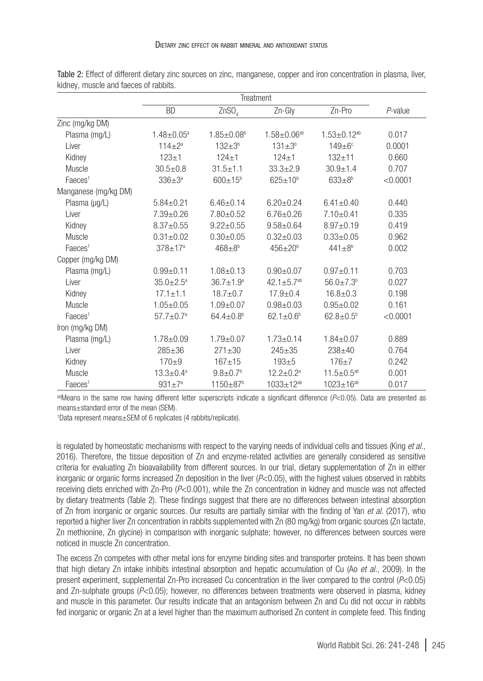|                      | Treatment              |                             |                              |                               |          |
|----------------------|------------------------|-----------------------------|------------------------------|-------------------------------|----------|
|                      | <b>BD</b>              | ZnSO <sub>4</sub>           | Zn-Gly                       | Zn-Pro                        | P-value  |
| Zinc (mg/kg DM)      |                        |                             |                              |                               |          |
| Plasma (mg/L)        | $1.48 \pm 0.05^a$      | $1.85 + 0.08$ <sup>b</sup>  | $1.58 \pm 0.06^{ab}$         | $1.53 \pm 0.12$ <sup>ab</sup> | 0.017    |
| Liver                | $114 \pm 2^a$          | $132 + 3^{b}$               | $131 \pm 3^{b}$              | $149 \pm 6$ <sup>c</sup>      | 0.0001   |
| Kidney               | $123 + 1$              | $124 + 1$                   | $124 + 1$                    | $132 + 11$                    | 0.660    |
| Muscle               | $30.5 \pm 0.8$         | $31.5 + 1.1$                | $33.3 + 2.9$                 | $30.9 + 1.4$                  | 0.707    |
| Faeces <sup>1</sup>  | $336 + 3^a$            | $600 \pm 15^{b}$            | $625 \pm 10^{b}$             | $633 \pm 8^b$                 | < 0.0001 |
| Manganese (mg/kg DM) |                        |                             |                              |                               |          |
| Plasma (µg/L)        | $5.84 \pm 0.21$        | $6.46 \pm 0.14$             | $6.20 \pm 0.24$              | $6.41 \pm 0.40$               | 0.440    |
| Liver                | $7.39 \pm 0.26$        | $7.80 \pm 0.52$             | $6.76 + 0.26$                | $7.10 \pm 0.41$               | 0.335    |
| Kidney               | $8.37 + 0.55$          | $9.22 + 0.55$               | $9.58 + 0.64$                | $8.97 + 0.19$                 | 0.419    |
| Muscle               | $0.31 \pm 0.02$        | $0.30 \pm 0.05$             | $0.32 \pm 0.03$              | $0.33 + 0.05$                 | 0.962    |
| Faeces <sup>1</sup>  | $378 + 17a$            | $468 + 8^{b}$               | $456 \pm 20^6$               | $441 + 8^{b}$                 | 0.002    |
| Copper (mg/kg DM)    |                        |                             |                              |                               |          |
| Plasma (mg/L)        | $0.99 + 0.11$          | $1.08 + 0.13$               | $0.90 \pm 0.07$              | $0.97 + 0.11$                 | 0.703    |
| Liver                | $35.0 \pm 2.5^{\circ}$ | $36.7 + 1.9^a$              | $42.1 \pm 5.7$ <sup>ab</sup> | $56.0 \pm 7.3^{\circ}$        | 0.027    |
| Kidney               | $17.1 \pm 1.1$         | $18.7 + 0.7$                | $17.9 + 0.4$                 | $16.8 + 0.3$                  | 0.198    |
| Muscle               | $1.05 \pm 0.05$        | $1.09 + 0.07$               | $0.98 + 0.03$                | $0.95 + 0.02$                 | 0.161    |
| Faeces <sup>1</sup>  | $57.7 \pm 0.7^a$       | $64.4 \pm 0.8$ <sup>b</sup> | $62.1 \pm 0.6^{\circ}$       | $62.8 \pm 0.5^{\circ}$        | < 0.0001 |
| Iron (mg/kg DM)      |                        |                             |                              |                               |          |
| Plasma (mg/L)        | $1.78 \pm 0.09$        | $1.79 + 0.07$               | $1.73 + 0.14$                | $1.84 + 0.07$                 | 0.889    |
| Liver                | $285 + 36$             | $271 + 30$                  | $245 + 35$                   | $238 + 40$                    | 0.764    |
| Kidney               | $170 + 9$              | $167 + 15$                  | $193 + 5$                    | $176 + 7$                     | 0.242    |
| Muscle               | $13.3 \pm 0.4^a$       | $9.8 \pm 0.7$ <sup>b</sup>  | $12.2 + 0.2a$                | $11.5 \pm 0.5^{ab}$           | 0.001    |
| Faeces <sup>1</sup>  | $931 + 7^a$            | 1150±87 <sup>b</sup>        | 1033±12 <sup>ab</sup>        | $1023 \pm 16^{ab}$            | 0.017    |

Table 2: Effect of different dietary zinc sources on zinc, manganese, copper and iron concentration in plasma, liver, kidney, muscle and faeces of rabbits.

abMeans in the same row having different letter superscripts indicate a significant difference (*P*<0.05). Data are presented as means±standard error of the mean (SEM).

1 Data represent means±SEM of 6 replicates (4 rabbits/replicate).

is regulated by homeostatic mechanisms with respect to the varying needs of individual cells and tissues (King *et al.,* 2016). Therefore, the tissue deposition of Zn and enzyme-related activities are generally considered as sensitive criteria for evaluating Zn bioavailability from different sources. In our trial, dietary supplementation of Zn in either inorganic or organic forms increased Zn deposition in the liver (*P*<0.05), with the highest values observed in rabbits receiving diets enriched with Zn-Pro (*P*<0.001), while the Zn concentration in kidney and muscle was not affected by dietary treatments (Table 2). These findings suggest that there are no differences between intestinal absorption of Zn from inorganic or organic sources. Our results are partially similar with the finding of Yan *et al.* (2017), who reported a higher liver Zn concentration in rabbits supplemented with Zn (80 mg/kg) from organic sources (Zn lactate, Zn methionine, Zn glycine) in comparison with inorganic sulphate; however, no differences between sources were noticed in muscle Zn concentration.

The excess Zn competes with other metal ions for enzyme binding sites and transporter proteins. It has been shown that high dietary Zn intake inhibits intestinal absorption and hepatic accumulation of Cu (Ao *et al.,* 2009). In the present experiment, supplemental Zn-Pro increased Cu concentration in the liver compared to the control (*P*<0.05) and Zn-sulphate groups (*P*<0.05); however, no differences between treatments were observed in plasma, kidney and muscle in this parameter. Our results indicate that an antagonism between Zn and Cu did not occur in rabbits fed inorganic or organic Zn at a level higher than the maximum authorised Zn content in complete feed. This finding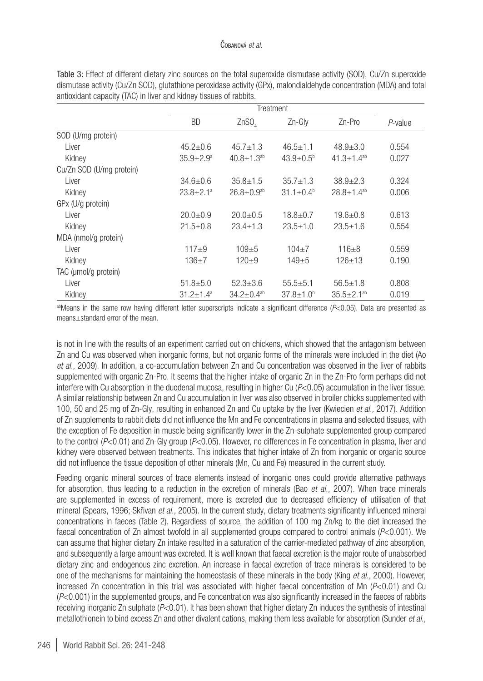|                          | Treatment        |                              |                  |                              |         |
|--------------------------|------------------|------------------------------|------------------|------------------------------|---------|
|                          | <b>BD</b>        | ZnSO <sub>a</sub>            | $Zn-Glv$         | $Zn-Pro$                     | P-value |
| SOD (U/mg protein)       |                  |                              |                  |                              |         |
| Liver                    | $45.2 \pm 0.6$   | $45.7 + 1.3$                 | $46.5 + 1.1$     | $48.9 + 3.0$                 | 0.554   |
| Kidney                   | $35.9 + 2.9^a$   | $40.8 + 1.3$ <sup>ab</sup>   | $43.9 + 0.5b$    | $41.3 + 1.4$ <sup>ab</sup>   | 0.027   |
| Cu/Zn SOD (U/mg protein) |                  |                              |                  |                              |         |
| Liver                    | $34.6 \pm 0.6$   | $35.8 + 1.5$                 | $35.7 + 1.3$     | $38.9 + 2.3$                 | 0.324   |
| Kidney                   | $23.8 \pm 2.1^a$ | $26.8 \pm 0.9$ <sup>ab</sup> | $31.1 \pm 0.4^b$ | $28.8 \pm 1.4$ <sup>ab</sup> | 0.006   |
| GPx (U/g protein)        |                  |                              |                  |                              |         |
| Liver                    | $20.0+0.9$       | $20.0 + 0.5$                 | $18.8 + 0.7$     | $19.6 + 0.8$                 | 0.613   |
| Kidney                   | $21.5 + 0.8$     | $23.4 + 1.3$                 | $23.5 + 1.0$     | $23.5 + 1.6$                 | 0.554   |
| MDA (nmol/g protein)     |                  |                              |                  |                              |         |
| Liver                    | $117 + 9$        | $109 + 5$                    | $104 + 7$        | $116 + 8$                    | 0.559   |
| Kidney                   | $136 + 7$        | $120 + 9$                    | $149 + 5$        | $126 + 13$                   | 0.190   |
| TAC (umol/g protein)     |                  |                              |                  |                              |         |
| Liver                    | $51.8 + 5.0$     | $52.3 \pm 3.6$               | $55.5 + 5.1$     | $56.5 + 1.8$                 | 0.808   |
| Kidney                   | $31.2 + 1.4^a$   | $34.2 + 0.4$ <sup>ab</sup>   | $37.8 + 1.0b$    | $35.5 + 2.1^{ab}$            | 0.019   |

Table 3: Effect of different dietary zinc sources on the total superoxide dismutase activity (SOD), Cu/Zn superoxide dismutase activity (Cu/Zn SOD), glutathione peroxidase activity (GPx), malondialdehyde concentration (MDA) and total antioxidant capacity (TAC) in liver and kidney tissues of rabbits.

abMeans in the same row having different letter superscripts indicate a significant difference (*P*<0.05). Data are presented as means±standard error of the mean.

is not in line with the results of an experiment carried out on chickens, which showed that the antagonism between Zn and Cu was observed when inorganic forms, but not organic forms of the minerals were included in the diet (Ao *et al.,* 2009). In addition, a co-accumulation between Zn and Cu concentration was observed in the liver of rabbits supplemented with organic Zn-Pro. It seems that the higher intake of organic Zn in the Zn-Pro form perhaps did not interfere with Cu absorption in the duodenal mucosa, resulting in higher Cu (*P*<0.05) accumulation in the liver tissue. A similar relationship between Zn and Cu accumulation in liver was also observed in broiler chicks supplemented with 100, 50 and 25 mg of Zn-Gly, resulting in enhanced Zn and Cu uptake by the liver (Kwiecien *et al.,* 2017). Addition of Zn supplements to rabbit diets did not influence the Mn and Fe concentrations in plasma and selected tissues, with the exception of Fe deposition in muscle being significantly lower in the Zn-sulphate supplemented group compared to the control (*P*<0.01) and Zn-Gly group (*P*<0.05). However, no differences in Fe concentration in plasma, liver and kidney were observed between treatments. This indicates that higher intake of Zn from inorganic or organic source did not influence the tissue deposition of other minerals (Mn, Cu and Fe) measured in the current study.

Feeding organic mineral sources of trace elements instead of inorganic ones could provide alternative pathways for absorption, thus leading to a reduction in the excretion of minerals (Bao *et al.,* 2007). When trace minerals are supplemented in excess of requirement, more is excreted due to decreased efficiency of utilisation of that mineral (Spears, 1996; Skřivan *et al.,* 2005). In the current study, dietary treatments significantly influenced mineral concentrations in faeces (Table 2). Regardless of source, the addition of 100 mg Zn/kg to the diet increased the faecal concentration of Zn almost twofold in all supplemented groups compared to control animals (*P*<0.001). We can assume that higher dietary Zn intake resulted in a saturation of the carrier-mediated pathway of zinc absorption, and subsequently a large amount was excreted. It is well known that faecal excretion is the major route of unabsorbed dietary zinc and endogenous zinc excretion. An increase in faecal excretion of trace minerals is considered to be one of the mechanisms for maintaining the homeostasis of these minerals in the body (King *et al.,* 2000). However, increased Zn concentration in this trial was associated with higher faecal concentration of Mn (*P*<0.01) and Cu (*P*<0.001) in the supplemented groups, and Fe concentration was also significantly increased in the faeces of rabbits receiving inorganic Zn sulphate (*P*<0.01). It has been shown that higher dietary Zn induces the synthesis of intestinal metallothionein to bind excess Zn and other divalent cations, making them less available for absorption (Sunder *et al.,*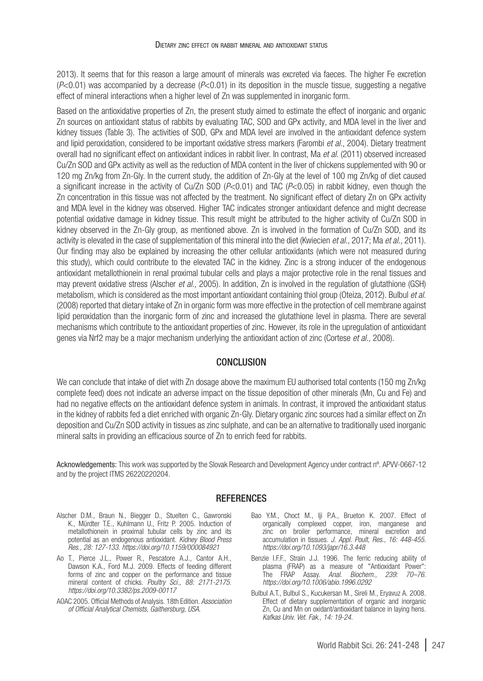2013). It seems that for this reason a large amount of minerals was excreted via faeces. The higher Fe excretion  $(P<0.01)$  was accompanied by a decrease  $(P<0.01)$  in its deposition in the muscle tissue, suggesting a negative effect of mineral interactions when a higher level of Zn was supplemented in inorganic form.

Based on the antioxidative properties of Zn, the present study aimed to estimate the effect of inorganic and organic Zn sources on antioxidant status of rabbits by evaluating TAC, SOD and GPx activity, and MDA level in the liver and kidney tissues (Table 3). The activities of SOD, GPx and MDA level are involved in the antioxidant defence system and lipid peroxidation, considered to be important oxidative stress markers (Farombi *et al.,* 2004). Dietary treatment overall had no significant effect on antioxidant indices in rabbit liver. In contrast, Ma *et al.* (2011) observed increased Cu/Zn SOD and GPx activity as well as the reduction of MDA content in the liver of chickens supplemented with 90 or 120 mg Zn/kg from Zn-Gly. In the current study, the addition of Zn-Gly at the level of 100 mg Zn/kg of diet caused a significant increase in the activity of Cu/Zn SOD (*P*<0.01) and TAC (*P*<0.05) in rabbit kidney, even though the Zn concentration in this tissue was not affected by the treatment. No significant effect of dietary Zn on GPx activity and MDA level in the kidney was observed. Higher TAC indicates stronger antioxidant defence and might decrease potential oxidative damage in kidney tissue. This result might be attributed to the higher activity of Cu/Zn SOD in kidney observed in the Zn-Gly group, as mentioned above. Zn is involved in the formation of Cu/Zn SOD, and its activity is elevated in the case of supplementation of this mineral into the diet (Kwiecien *et al.,* 2017; Ma *et al.,* 2011). Our finding may also be explained by increasing the other cellular antioxidants (which were not measured during this study), which could contribute to the elevated TAC in the kidney. Zinc is a strong inducer of the endogenous antioxidant metallothionein in renal proximal tubular cells and plays a major protective role in the renal tissues and may prevent oxidative stress (Alscher *et al.,* 2005). In addition, Zn is involved in the regulation of glutathione (GSH) metabolism, which is considered as the most important antioxidant containing thiol group (Oteiza, 2012). Bulbul *et al.* (2008) reported that dietary intake of Zn in organic form was more effective in the protection of cell membrane against lipid peroxidation than the inorganic form of zinc and increased the glutathione level in plasma. There are several mechanisms which contribute to the antioxidant properties of zinc. However, its role in the upregulation of antioxidant genes via Nrf2 may be a major mechanism underlying the antioxidant action of zinc (Cortese *et al.,* 2008).

### **CONCLUSION**

We can conclude that intake of diet with Zn dosage above the maximum EU authorised total contents (150 mg Zn/kg complete feed) does not indicate an adverse impact on the tissue deposition of other minerals (Mn, Cu and Fe) and had no negative effects on the antioxidant defence system in animals. In contrast, it improved the antioxidant status in the kidney of rabbits fed a diet enriched with organic Zn-Gly. Dietary organic zinc sources had a similar effect on Zn deposition and Cu/Zn SOD activity in tissues as zinc sulphate, and can be an alternative to traditionally used inorganic mineral salts in providing an efficacious source of Zn to enrich feed for rabbits.

Acknowledgements: This work was supported by the Slovak Research and Development Agency under contract nº. APVV-0667-12 and by the project ITMS 26220220204.

#### **REFERENCES**

- Alscher D.M., Braun N., Biegger D., Stuelten C., Gawronski K., Mürdter T.E., Kuhlmann U., Fritz P. 2005. Induction of metallothionein in proximal tubular cells by zinc and its potential as an endogenous antioxidant. *Kidney Blood Press Res., 28: 127-133*. *<https://doi.org/10.1159/000084921>*
- Ao T., Pierce J.L., Power R., Pescatore A.J., Cantor A.H., Dawson K.A., Ford M.J. 2009. Effects of feeding different forms of zinc and copper on the performance and tissue mineral content of chicks. *Poultry Sci., 88: 2171-2175. <https://doi.org/10.3382/ps.2009-00117>*
- AOAC 2005. Official Methods of Analysis. 18th Edition. *Association of Official Analytical Chemists, Gaithersburg, USA*.
- Bao Y.M., Choct M., Iii P.A., Brueton K. 2007. Effect of organically complexed copper, iron, manganese and zinc on broiler performance, mineral excretion and accumulation in tissues. *J. Appl. Poult, Res., 16: 448-455. <https://doi.org/10.1093/japr/16.3.448>*
- Benzie I.F.F., Strain J.J. 1996. The ferric reducing ability of plasma (FRAP) as a measure of "Antioxidant Power": The FRAP Assay. *Anal. Biochem., 239: 70–76. <https://doi.org/10.1006/abio.1996.0292>*
- Bulbul A.T., Bulbul S., Kucukersan M., Sireli M., Eryavuz A. 2008. Effect of dietary supplementation of organic and inorganic Zn, Cu and Mn on oxidant/antioxidant balance in laying hens. *Kafkas Univ. Vet. Fak., 14: 19-24.*